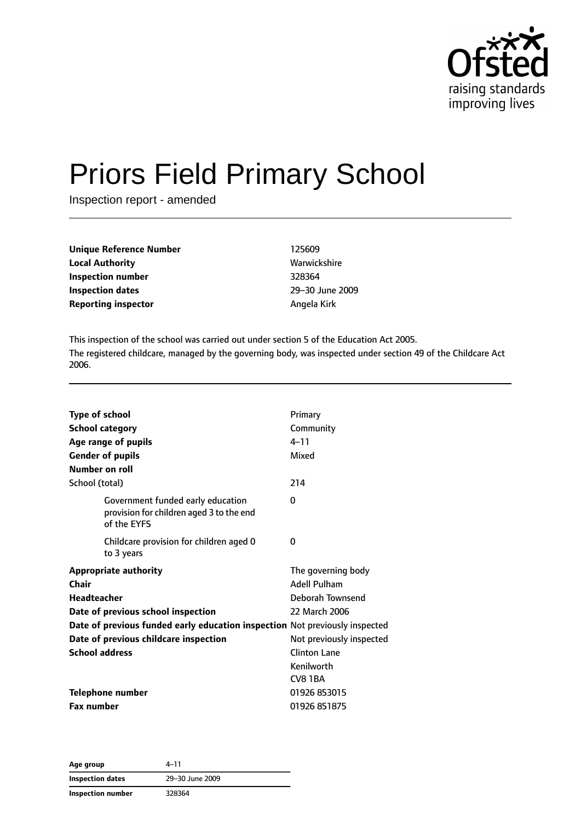

# Priors Field Primary School

Inspection report - amended

| <b>Unique Reference Number</b> | 125609      |
|--------------------------------|-------------|
| <b>Local Authority</b>         | Warwic      |
| Inspection number              | 328364      |
| Inspection dates               | $29 - 30$ . |
| <b>Reporting inspector</b>     | Angela      |

**Local Authority** Warwickshire **Inspection dates** 29–30 June 2009 **Reporting inspector** Angela Kirk

This inspection of the school was carried out under section 5 of the Education Act 2005. The registered childcare, managed by the governing body, was inspected under section 49 of the Childcare Act 2006.

| <b>Type of school</b><br><b>School category</b><br>Age range of pupils<br><b>Gender of pupils</b><br>Number on roll | Primary<br>Community<br>$4 - 11$<br>Mixed                                      |
|---------------------------------------------------------------------------------------------------------------------|--------------------------------------------------------------------------------|
| School (total)                                                                                                      | 214                                                                            |
| Government funded early education<br>provision for children aged 3 to the end<br>of the EYFS                        | 0                                                                              |
| Childcare provision for children aged 0<br>to 3 years                                                               | 0                                                                              |
| <b>Appropriate authority</b><br>Chair<br><b>Headteacher</b><br>Date of previous school inspection                   | The governing body<br><b>Adell Pulham</b><br>Deborah Townsend<br>22 March 2006 |
| Date of previous funded early education inspection Not previously inspected                                         |                                                                                |
| Date of previous childcare inspection                                                                               | Not previously inspected                                                       |
| <b>School address</b>                                                                                               | Clinton Lane                                                                   |
|                                                                                                                     | Kenilworth                                                                     |
|                                                                                                                     | CV81BA                                                                         |
| <b>Telephone number</b>                                                                                             | 01926 853015                                                                   |
| <b>Fax number</b>                                                                                                   | 01926 851875                                                                   |

**Age group** 4–11 **Inspection dates** 29–30 June 2009 **Inspection number** 328364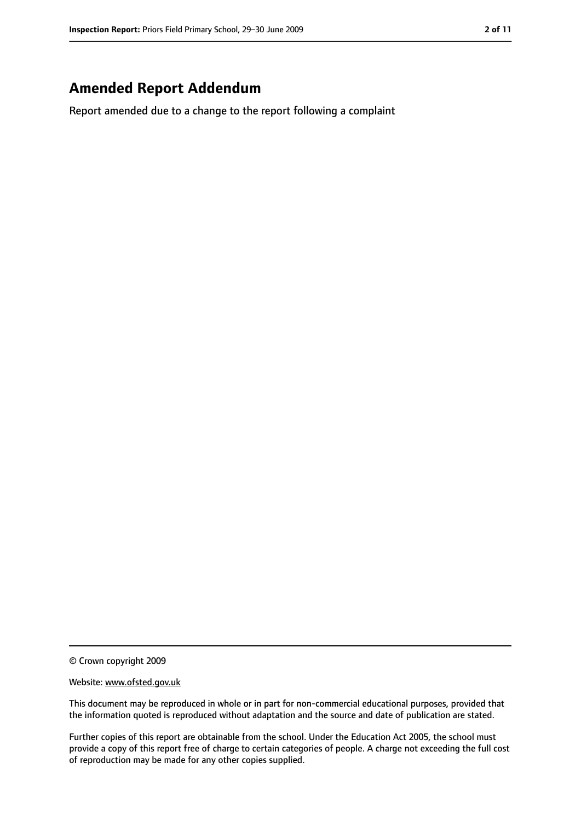## **Amended Report Addendum**

Report amended due to a change to the report following a complaint

© Crown copyright 2009

#### Website: www.ofsted.gov.uk

This document may be reproduced in whole or in part for non-commercial educational purposes, provided that the information quoted is reproduced without adaptation and the source and date of publication are stated.

Further copies of this report are obtainable from the school. Under the Education Act 2005, the school must provide a copy of this report free of charge to certain categories of people. A charge not exceeding the full cost of reproduction may be made for any other copies supplied.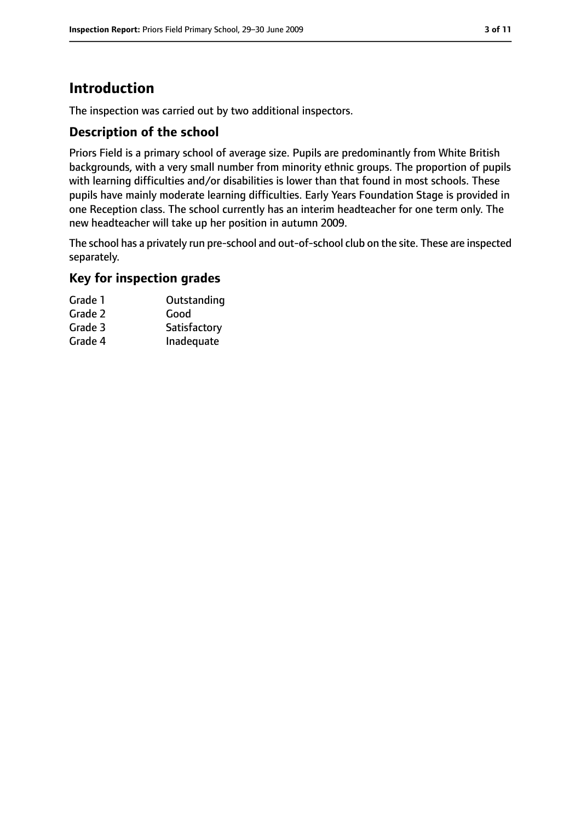# **Introduction**

The inspection was carried out by two additional inspectors.

#### **Description of the school**

Priors Field is a primary school of average size. Pupils are predominantly from White British backgrounds, with a very small number from minority ethnic groups. The proportion of pupils with learning difficulties and/or disabilities is lower than that found in most schools. These pupils have mainly moderate learning difficulties. Early Years Foundation Stage is provided in one Reception class. The school currently has an interim headteacher for one term only. The new headteacher will take up her position in autumn 2009.

The school has a privately run pre-school and out-of-school club on the site. These are inspected separately.

#### **Key for inspection grades**

| Grade 1 | Outstanding  |
|---------|--------------|
| Grade 2 | Good         |
| Grade 3 | Satisfactory |
| Grade 4 | Inadequate   |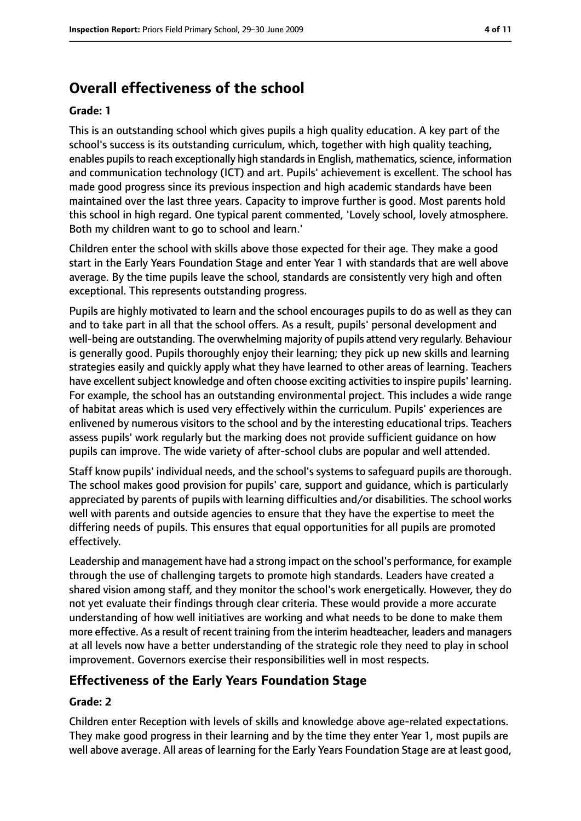# **Overall effectiveness of the school**

#### **Grade: 1**

This is an outstanding school which gives pupils a high quality education. A key part of the school's success is its outstanding curriculum, which, together with high quality teaching, enables pupils to reach exceptionally high standards in English, mathematics, science, information and communication technology (ICT) and art. Pupils' achievement is excellent. The school has made good progress since its previous inspection and high academic standards have been maintained over the last three years. Capacity to improve further is good. Most parents hold this school in high regard. One typical parent commented, 'Lovely school, lovely atmosphere. Both my children want to go to school and learn.'

Children enter the school with skills above those expected for their age. They make a good start in the Early Years Foundation Stage and enter Year 1 with standards that are well above average. By the time pupils leave the school, standards are consistently very high and often exceptional. This represents outstanding progress.

Pupils are highly motivated to learn and the school encourages pupils to do as well as they can and to take part in all that the school offers. As a result, pupils' personal development and well-being are outstanding. The overwhelming majority of pupils attend very regularly. Behaviour is generally good. Pupils thoroughly enjoy their learning; they pick up new skills and learning strategies easily and quickly apply what they have learned to other areas of learning. Teachers have excellent subject knowledge and often choose exciting activities to inspire pupils' learning. For example, the school has an outstanding environmental project. This includes a wide range of habitat areas which is used very effectively within the curriculum. Pupils' experiences are enlivened by numerous visitors to the school and by the interesting educational trips. Teachers assess pupils' work regularly but the marking does not provide sufficient guidance on how pupils can improve. The wide variety of after-school clubs are popular and well attended.

Staff know pupils' individual needs, and the school's systems to safeguard pupils are thorough. The school makes good provision for pupils' care, support and guidance, which is particularly appreciated by parents of pupils with learning difficulties and/or disabilities. The school works well with parents and outside agencies to ensure that they have the expertise to meet the differing needs of pupils. This ensures that equal opportunities for all pupils are promoted effectively.

Leadership and management have had a strong impact on the school's performance, for example through the use of challenging targets to promote high standards. Leaders have created a shared vision among staff, and they monitor the school's work energetically. However, they do not yet evaluate their findings through clear criteria. These would provide a more accurate understanding of how well initiatives are working and what needs to be done to make them more effective. As a result of recent training from the interim headteacher, leaders and managers at all levels now have a better understanding of the strategic role they need to play in school improvement. Governors exercise their responsibilities well in most respects.

#### **Effectiveness of the Early Years Foundation Stage**

#### **Grade: 2**

Children enter Reception with levels of skills and knowledge above age-related expectations. They make good progress in their learning and by the time they enter Year 1, most pupils are well above average. All areas of learning for the Early Years Foundation Stage are at least good,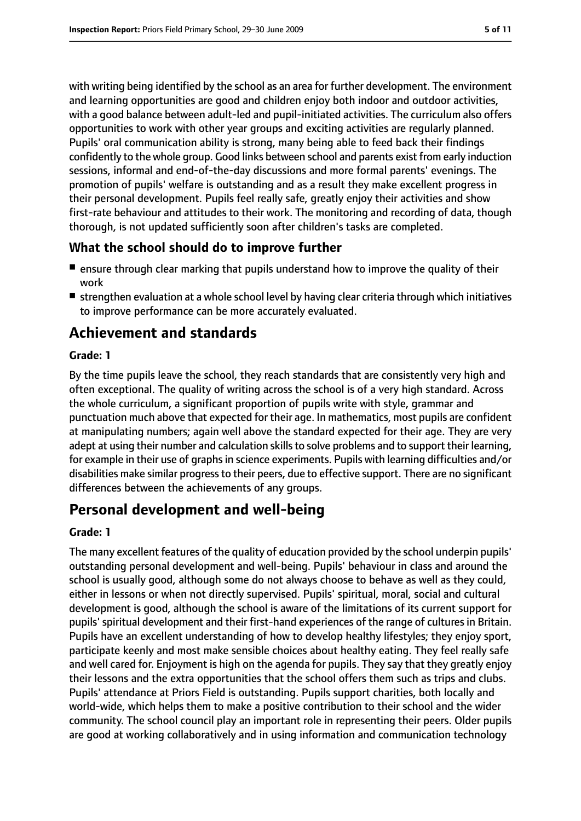with writing being identified by the school as an area for further development. The environment and learning opportunities are good and children enjoy both indoor and outdoor activities, with a good balance between adult-led and pupil-initiated activities. The curriculum also offers opportunities to work with other year groups and exciting activities are regularly planned. Pupils' oral communication ability is strong, many being able to feed back their findings confidently to the whole group. Good links between school and parents exist from early induction sessions, informal and end-of-the-day discussions and more formal parents' evenings. The promotion of pupils' welfare is outstanding and as a result they make excellent progress in their personal development. Pupils feel really safe, greatly enjoy their activities and show first-rate behaviour and attitudes to their work. The monitoring and recording of data, though thorough, is not updated sufficiently soon after children's tasks are completed.

#### **What the school should do to improve further**

- ensure through clear marking that pupils understand how to improve the quality of their work
- strengthen evaluation at a whole school level by having clear criteria through which initiatives to improve performance can be more accurately evaluated.

# **Achievement and standards**

#### **Grade: 1**

By the time pupils leave the school, they reach standards that are consistently very high and often exceptional. The quality of writing across the school is of a very high standard. Across the whole curriculum, a significant proportion of pupils write with style, grammar and punctuation much above that expected for their age. In mathematics, most pupils are confident at manipulating numbers; again well above the standard expected for their age. They are very adept at using their number and calculation skills to solve problems and to support their learning, for example in their use of graphs in science experiments. Pupils with learning difficulties and/or disabilities make similar progressto their peers, due to effective support. There are no significant differences between the achievements of any groups.

# **Personal development and well-being**

#### **Grade: 1**

The many excellent features of the quality of education provided by the school underpin pupils' outstanding personal development and well-being. Pupils' behaviour in class and around the school is usually good, although some do not always choose to behave as well as they could, either in lessons or when not directly supervised. Pupils' spiritual, moral, social and cultural development is good, although the school is aware of the limitations of its current support for pupils' spiritual development and their first-hand experiences of the range of cultures in Britain. Pupils have an excellent understanding of how to develop healthy lifestyles; they enjoy sport, participate keenly and most make sensible choices about healthy eating. They feel really safe and well cared for. Enjoyment is high on the agenda for pupils. They say that they greatly enjoy their lessons and the extra opportunities that the school offers them such as trips and clubs. Pupils' attendance at Priors Field is outstanding. Pupils support charities, both locally and world-wide, which helps them to make a positive contribution to their school and the wider community. The school council play an important role in representing their peers. Older pupils are good at working collaboratively and in using information and communication technology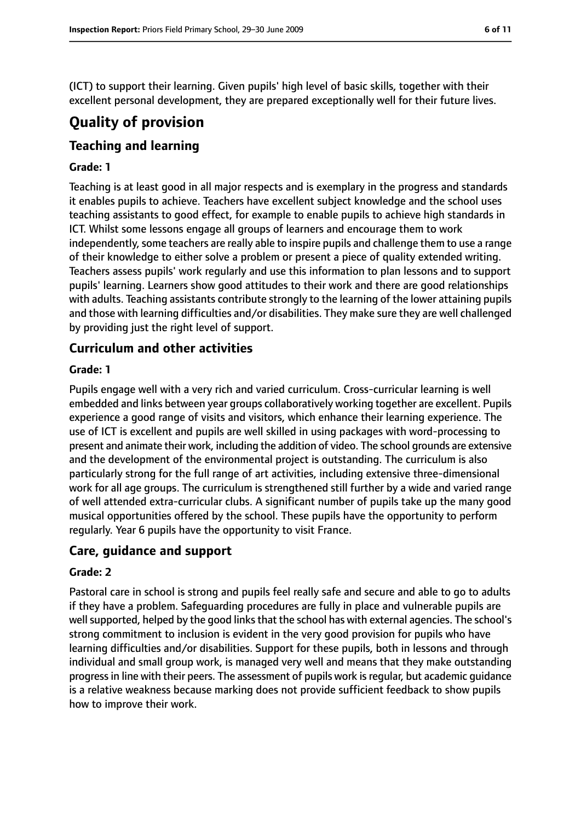(ICT) to support their learning. Given pupils' high level of basic skills, together with their excellent personal development, they are prepared exceptionally well for their future lives.

# **Quality of provision**

#### **Teaching and learning**

#### **Grade: 1**

Teaching is at least good in all major respects and is exemplary in the progress and standards it enables pupils to achieve. Teachers have excellent subject knowledge and the school uses teaching assistants to good effect, for example to enable pupils to achieve high standards in ICT. Whilst some lessons engage all groups of learners and encourage them to work independently, some teachers are really able to inspire pupils and challenge them to use a range of their knowledge to either solve a problem or present a piece of quality extended writing. Teachers assess pupils' work regularly and use this information to plan lessons and to support pupils' learning. Learners show good attitudes to their work and there are good relationships with adults. Teaching assistants contribute strongly to the learning of the lower attaining pupils and those with learning difficulties and/or disabilities. They make sure they are well challenged by providing just the right level of support.

#### **Curriculum and other activities**

#### **Grade: 1**

Pupils engage well with a very rich and varied curriculum. Cross-curricular learning is well embedded and links between year groups collaboratively working together are excellent. Pupils experience a good range of visits and visitors, which enhance their learning experience. The use of ICT is excellent and pupils are well skilled in using packages with word-processing to present and animate their work, including the addition of video. The school grounds are extensive and the development of the environmental project is outstanding. The curriculum is also particularly strong for the full range of art activities, including extensive three-dimensional work for all age groups. The curriculum is strengthened still further by a wide and varied range of well attended extra-curricular clubs. A significant number of pupils take up the many good musical opportunities offered by the school. These pupils have the opportunity to perform regularly. Year 6 pupils have the opportunity to visit France.

#### **Care, guidance and support**

#### **Grade: 2**

Pastoral care in school is strong and pupils feel really safe and secure and able to go to adults if they have a problem. Safeguarding procedures are fully in place and vulnerable pupils are well supported, helped by the good links that the school has with external agencies. The school's strong commitment to inclusion is evident in the very good provision for pupils who have learning difficulties and/or disabilities. Support for these pupils, both in lessons and through individual and small group work, is managed very well and means that they make outstanding progress in line with their peers. The assessment of pupils work is regular, but academic guidance is a relative weakness because marking does not provide sufficient feedback to show pupils how to improve their work.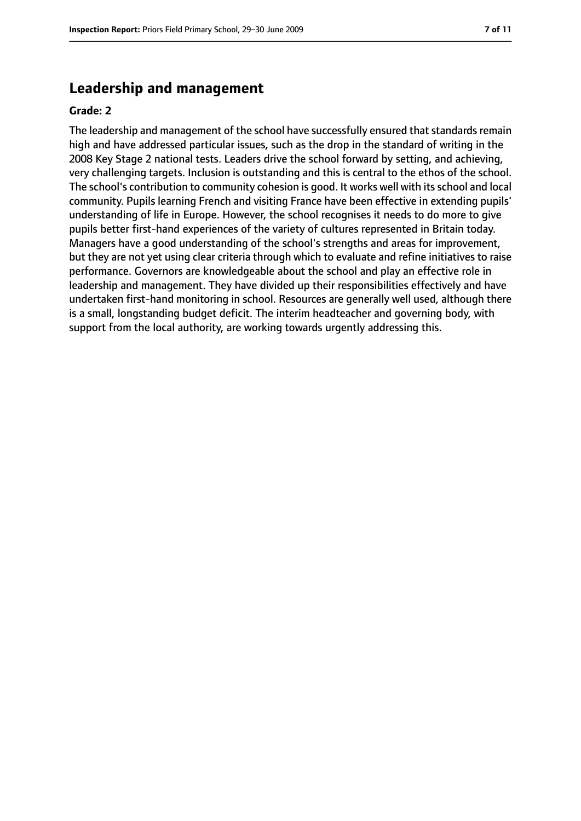#### **Leadership and management**

#### **Grade: 2**

The leadership and management of the school have successfully ensured that standards remain high and have addressed particular issues, such as the drop in the standard of writing in the 2008 Key Stage 2 national tests. Leaders drive the school forward by setting, and achieving, very challenging targets. Inclusion is outstanding and this is central to the ethos of the school. The school's contribution to community cohesion is good. It works well with its school and local community. Pupils learning French and visiting France have been effective in extending pupils' understanding of life in Europe. However, the school recognises it needs to do more to give pupils better first-hand experiences of the variety of cultures represented in Britain today. Managers have a good understanding of the school's strengths and areas for improvement, but they are not yet using clear criteria through which to evaluate and refine initiatives to raise performance. Governors are knowledgeable about the school and play an effective role in leadership and management. They have divided up their responsibilities effectively and have undertaken first-hand monitoring in school. Resources are generally well used, although there is a small, longstanding budget deficit. The interim headteacher and governing body, with support from the local authority, are working towards urgently addressing this.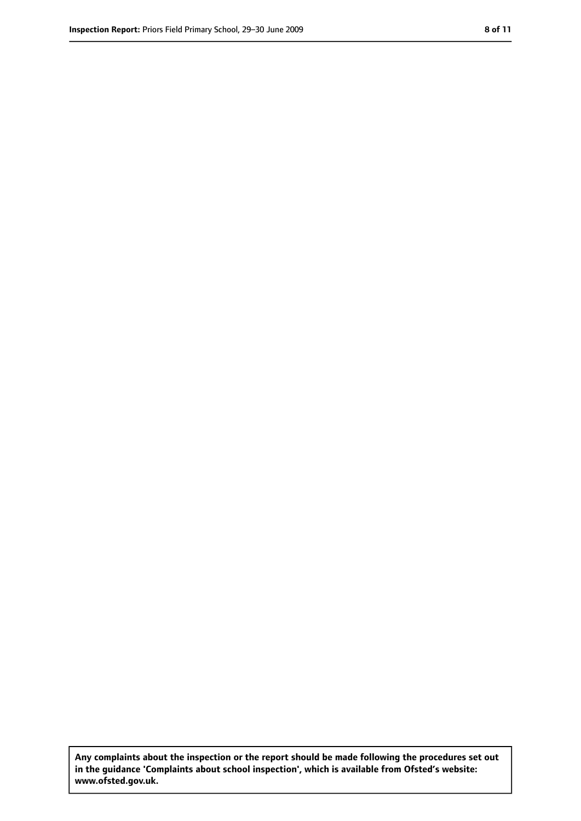**Any complaints about the inspection or the report should be made following the procedures set out in the guidance 'Complaints about school inspection', which is available from Ofsted's website: www.ofsted.gov.uk.**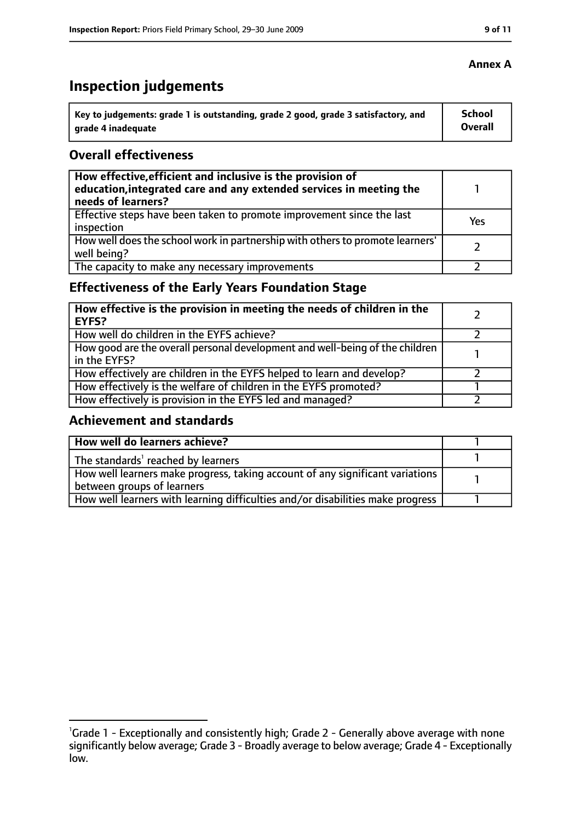# **Inspection judgements**

| Key to judgements: grade 1 is outstanding, grade 2 good, grade 3 satisfactory, and | <b>School</b>  |
|------------------------------------------------------------------------------------|----------------|
| arade 4 inadequate                                                                 | <b>Overall</b> |

#### **Overall effectiveness**

| How effective, efficient and inclusive is the provision of<br>education, integrated care and any extended services in meeting the<br>needs of learners? |     |
|---------------------------------------------------------------------------------------------------------------------------------------------------------|-----|
| Effective steps have been taken to promote improvement since the last<br>inspection                                                                     | Yes |
| How well does the school work in partnership with others to promote learners'<br>well being?                                                            |     |
| The capacity to make any necessary improvements                                                                                                         |     |

### **Effectiveness of the Early Years Foundation Stage**

| How effective is the provision in meeting the needs of children in the<br><b>EYFS?</b>       |  |
|----------------------------------------------------------------------------------------------|--|
| How well do children in the EYFS achieve?                                                    |  |
| How good are the overall personal development and well-being of the children<br>in the EYFS? |  |
| How effectively are children in the EYFS helped to learn and develop?                        |  |
| How effectively is the welfare of children in the EYFS promoted?                             |  |
| How effectively is provision in the EYFS led and managed?                                    |  |

#### **Achievement and standards**

| How well do learners achieve?                                                  |  |
|--------------------------------------------------------------------------------|--|
| $\vert$ The standards <sup>1</sup> reached by learners                         |  |
| How well learners make progress, taking account of any significant variations  |  |
| between groups of learners                                                     |  |
| How well learners with learning difficulties and/or disabilities make progress |  |

<sup>&</sup>lt;sup>1</sup>Grade 1 - Exceptionally and consistently high; Grade 2 - Generally above average with none significantly below average; Grade 3 - Broadly average to below average; Grade 4 - Exceptionally low.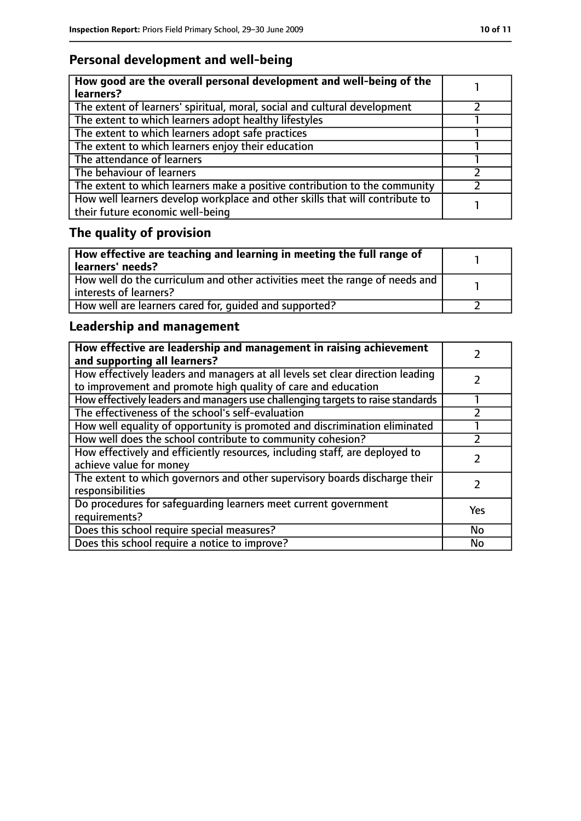### **Personal development and well-being**

| How good are the overall personal development and well-being of the<br>learners?                                 |  |
|------------------------------------------------------------------------------------------------------------------|--|
| The extent of learners' spiritual, moral, social and cultural development                                        |  |
| The extent to which learners adopt healthy lifestyles                                                            |  |
| The extent to which learners adopt safe practices                                                                |  |
| The extent to which learners enjoy their education                                                               |  |
| The attendance of learners                                                                                       |  |
| The behaviour of learners                                                                                        |  |
| The extent to which learners make a positive contribution to the community                                       |  |
| How well learners develop workplace and other skills that will contribute to<br>their future economic well-being |  |

# **The quality of provision**

| How effective are teaching and learning in meeting the full range of<br>learners' needs?                |  |
|---------------------------------------------------------------------------------------------------------|--|
| How well do the curriculum and other activities meet the range of needs and<br>  interests of learners? |  |
| How well are learners cared for, quided and supported?                                                  |  |

### **Leadership and management**

| How effective are leadership and management in raising achievement<br>and supporting all learners?                                              |           |
|-------------------------------------------------------------------------------------------------------------------------------------------------|-----------|
| How effectively leaders and managers at all levels set clear direction leading<br>to improvement and promote high quality of care and education |           |
| How effectively leaders and managers use challenging targets to raise standards                                                                 |           |
| The effectiveness of the school's self-evaluation                                                                                               |           |
| How well equality of opportunity is promoted and discrimination eliminated                                                                      |           |
| How well does the school contribute to community cohesion?                                                                                      |           |
| How effectively and efficiently resources, including staff, are deployed to<br>achieve value for money                                          |           |
| The extent to which governors and other supervisory boards discharge their<br>responsibilities                                                  |           |
| Do procedures for safequarding learners meet current government<br>requirements?                                                                | Yes       |
| Does this school require special measures?                                                                                                      | <b>No</b> |
| Does this school require a notice to improve?                                                                                                   | No        |